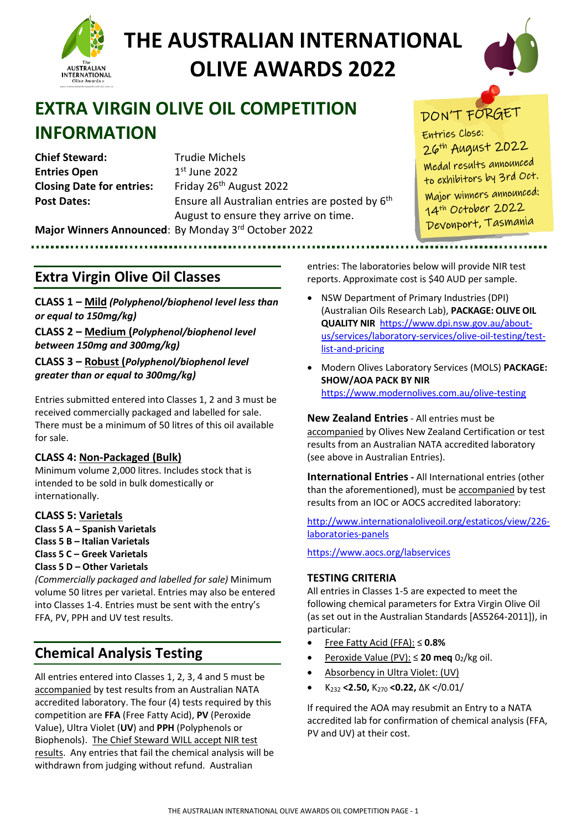



## **EXTRA VIRGIN OLIVE OIL COMPETITION INFORMATION**

**Chief Steward:** Trudie Michels **Entries Open** 1st June 2022 **Closing Date for entries:** Friday 26<sup>th</sup> August 2022

**Post Dates:** Ensure all Australian entries are posted by 6<sup>th</sup> August to ensure they arrive on time. **Major Winners Announced**: By Monday 3rd October 2022

## DON'T FORGET

**Entries** Close: 26<sup>th</sup> August 2022 Medal results announced to exhibitors by 3rd Oct. Major winners announced: 14<sup>th</sup> October 2022 Devonport, Tasmania

### **Extra Virgin Olive Oil Classes**

**CLASS 1 – Mild** *(Polyphenol/biophenol level less than or equal to 150mg/kg)*

**CLASS 2 – Medium (***Polyphenol/biophenol level between 150mg and 300mg/kg)*

**CLASS 3 – Robust (***Polyphenol/biophenol level greater than or equal to 300mg/kg)*

Entries submitted entered into Classes 1, 2 and 3 must be received commercially packaged and labelled for sale. There must be a minimum of 50 litres of this oil available for sale.

#### **CLASS 4: Non-Packaged (Bulk)**

Minimum volume 2,000 litres. Includes stock that is intended to be sold in bulk domestically or internationally.

#### **CLASS 5: Varietals**

**Class 5 A – Spanish Varietals** 

- **Class 5 B Italian Varietals**
- **Class 5 C Greek Varietals**
- **Class 5 D Other Varietals**

*(Commercially packaged and labelled for sale)* Minimum volume 50 litres per varietal. Entries may also be entered into Classes 1-4. Entries must be sent with the entry's FFA, PV, PPH and UV test results.

## **Chemical Analysis Testing**

All entries entered into Classes 1, 2, 3, 4 and 5 must be accompanied by test results from an Australian NATA accredited laboratory. The four (4) tests required by this competition are **FFA** (Free Fatty Acid), **PV** (Peroxide Value), Ultra Violet (**UV**) and **PPH** (Polyphenols or Biophenols). The Chief Steward WILL accept NIR test results.Any entries that fail the chemical analysis will be withdrawn from judging without refund. Australian

entries: The laboratories below will provide NIR test reports. Approximate cost is \$40 AUD per sample.

- NSW Department of Primary Industries (DPI) (Australian Oils Research Lab), **PACKAGE: OLIVE OIL QUALITY NIR** [https://www.dpi.nsw.gov.au/about](https://www.dpi.nsw.gov.au/about-us/services/laboratory-services/olive-oil-testing/test-list-and-pricing)[us/services/laboratory-services/olive-oil-testing/test](https://www.dpi.nsw.gov.au/about-us/services/laboratory-services/olive-oil-testing/test-list-and-pricing)[list-and-pricing](https://www.dpi.nsw.gov.au/about-us/services/laboratory-services/olive-oil-testing/test-list-and-pricing)
- Modern Olives Laboratory Services (MOLS) **PACKAGE: SHOW/AOA PACK BY NIR** <https://www.modernolives.com.au/olive-testing>

**New Zealand Entries** - All entries must be accompanied by Olives New Zealand Certification or test results from an Australian NATA accredited laboratory (see above in Australian Entries).

**International Entries -** All International entries (other than the aforementioned), must be accompanied by test results from an IOC or AOCS accredited laboratory:

[http://www.internationaloliveoil.org/estaticos/view/226](http://www.internationaloliveoil.org/estaticos/view/226-laboratories-panels) [laboratories-panels](http://www.internationaloliveoil.org/estaticos/view/226-laboratories-panels)

<https://www.aocs.org/labservices>

#### **TESTING CRITERIA**

All entries in Classes 1-5 are expected to meet the following chemical parameters for Extra Virgin Olive Oil (as set out in the Australian Standards [AS5264-2011]), in particular:

- Free Fatty Acid (FFA): ≤ **0.8%**
- Peroxide Value (PV):  $\leq$  **20 meg** 0<sub>2</sub>/kg oil.
- Absorbency in Ultra Violet: (UV)
- K232 **<2.50,** K270 **<0.22,** ∆K </0.01/

If required the AOA may resubmit an Entry to a NATA accredited lab for confirmation of chemical analysis (FFA, PV and UV) at their cost.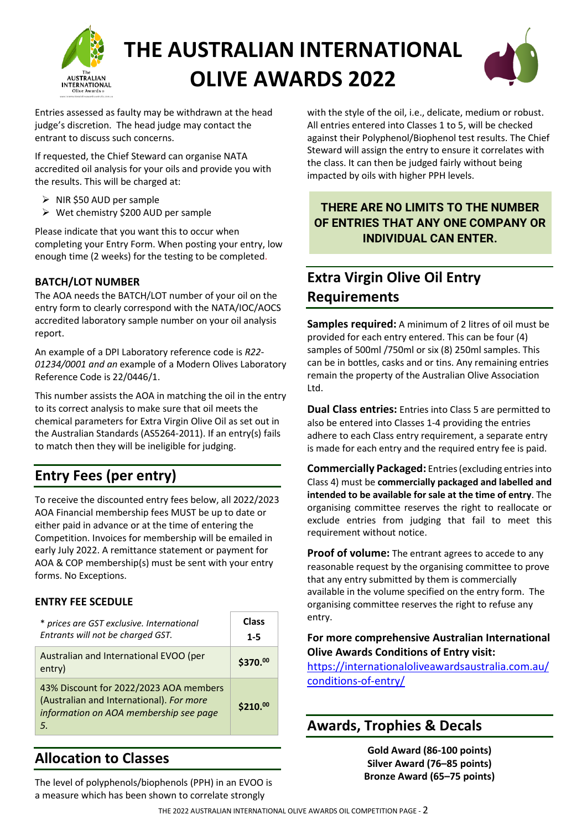



Entries assessed as faulty may be withdrawn at the head judge's discretion. The head judge may contact the entrant to discuss such concerns.

If requested, the Chief Steward can organise NATA accredited oil analysis for your oils and provide you with the results. This will be charged at:

- $\triangleright$  NIR \$50 AUD per sample
- $\triangleright$  Wet chemistry \$200 AUD per sample

Please indicate that you want this to occur when completing your Entry Form. When posting your entry, low enough time (2 weeks) for the testing to be completed.

#### **BATCH/LOT NUMBER**

The AOA needs the BATCH/LOT number of your oil on the entry form to clearly correspond with the NATA/IOC/AOCS accredited laboratory sample number on your oil analysis report.

An example of a DPI Laboratory reference code is *R22- 01234/0001 and an* example of a Modern Olives Laboratory Reference Code is 22/0446/1.

This number assists the AOA in matching the oil in the entry to its correct analysis to make sure that oil meets the chemical parameters for Extra Virgin Olive Oil as set out in the Australian Standards (AS5264-2011). If an entry(s) fails to match then they will be ineligible for judging.

## **Entry Fees (per entry)**

To receive the discounted entry fees below, all 2022/2023 AOA Financial membership fees MUST be up to date or either paid in advance or at the time of entering the Competition. Invoices for membership will be emailed in early July 2022. A remittance statement or payment for AOA & COP membership(s) must be sent with your entry forms. No Exceptions.

#### **ENTRY FEE SCEDULE**

| * prices are GST exclusive. International<br>Entrants will not be charged GST.                                                      | Class<br>$1 - 5$ |
|-------------------------------------------------------------------------------------------------------------------------------------|------------------|
| Australian and International EVOO (per<br>entry)                                                                                    | \$370.00         |
| 43% Discount for 2022/2023 AOA members<br>(Australian and International). For more<br>information on AOA membership see page<br>.5. | $$210.^{00}$     |

## **Allocation to Classes**

The level of polyphenols/biophenols (PPH) in an EVOO is a measure which has been shown to correlate strongly

with the style of the oil, i.e., delicate, medium or robust. All entries entered into Classes 1 to 5, will be checked against their Polyphenol/Biophenol test results. The Chief Steward will assign the entry to ensure it correlates with the class. It can then be judged fairly without being impacted by oils with higher PPH levels.

#### **THERE ARE NO LIMITS TO THE NUMBER OF ENTRIES THAT ANY ONE COMPANY OR INDIVIDUAL CAN ENTER.**

## **Extra Virgin Olive Oil Entry Requirements**

**Samples required:** A minimum of 2 litres of oil must be provided for each entry entered. This can be four (4) samples of 500ml /750ml or six (8) 250ml samples. This can be in bottles, casks and or tins. Any remaining entries remain the property of the Australian Olive Association Ltd.

**Dual Class entries:** Entries into Class 5 are permitted to also be entered into Classes 1-4 providing the entries adhere to each Class entry requirement, a separate entry is made for each entry and the required entry fee is paid.

**Commercially Packaged:** Entries(excluding entriesinto Class 4) must be **commercially packaged and labelled and intended to be available for sale at the time of entry**. The organising committee reserves the right to reallocate or exclude entries from judging that fail to meet this requirement without notice.

**Proof of volume:** The entrant agrees to accede to any reasonable request by the organising committee to prove that any entry submitted by them is commercially available in the volume specified on the entry form. The organising committee reserves the right to refuse any entry.

#### **For more comprehensive Australian International Olive Awards Conditions of Entry visit:**

[https://internationaloliveawardsaustralia.com.au/](https://internationaloliveawardsaustralia.com.au/conditions-of-entry/) [conditions-of-entry/](https://internationaloliveawardsaustralia.com.au/conditions-of-entry/) 

### **Awards, Trophies & Decals**

**Gold Award (86-100 points) Silver Award (76–85 points) Bronze Award (65–75 points)**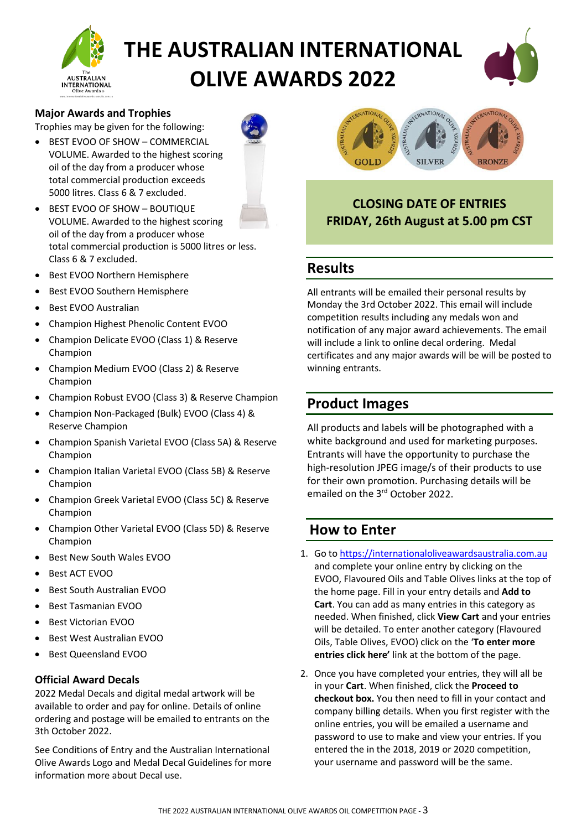



#### **Major Awards and Trophies**

Trophies may be given for the following:

BEST EVOO OF SHOW - COMMERCIAL VOLUME. Awarded to the highest scoring oil of the day from a producer whose total commercial production exceeds 5000 litres. Class 6 & 7 excluded.



- BEST EVOO OF SHOW BOUTIQUE VOLUME. Awarded to the highest scoring oil of the day from a producer whose total commercial production is 5000 litres or less. Class 6 & 7 excluded.
- Best EVOO Northern Hemisphere
- Best EVOO Southern Hemisphere
- Best EVOO Australian
- Champion Highest Phenolic Content EVOO
- Champion Delicate EVOO (Class 1) & Reserve Champion
- Champion Medium EVOO (Class 2) & Reserve Champion
- Champion Robust EVOO (Class 3) & Reserve Champion
- Champion Non-Packaged (Bulk) EVOO (Class 4) & Reserve Champion
- Champion Spanish Varietal EVOO (Class 5A) & Reserve Champion
- Champion Italian Varietal EVOO (Class 5B) & Reserve Champion
- Champion Greek Varietal EVOO (Class 5C) & Reserve Champion
- Champion Other Varietal EVOO (Class 5D) & Reserve Champion
- Best New South Wales EVOO
- Best ACT EVOO
- Best South Australian EVOO
- Best Tasmanian EVOO
- Best Victorian EVOO
- Best West Australian EVOO
- Best Queensland EVOO

#### **Official Award Decals**

2022 Medal Decals and digital medal artwork will be available to order and pay for online. Details of online ordering and postage will be emailed to entrants on the 3th October 2022.

See Conditions of Entry and the Australian International Olive Awards Logo and Medal Decal Guidelines for more information more about Decal use.



**CLOSING DATE OF ENTRIES FRIDAY, 26th August at 5.00 pm CST**

#### **Results**

All entrants will be emailed their personal results by Monday the 3rd October 2022. This email will include competition results including any medals won and notification of any major award achievements. The email will include a link to online decal ordering. Medal certificates and any major awards will be will be posted to winning entrants.

#### **Product Images**

All products and labels will be photographed with a white background and used for marketing purposes. Entrants will have the opportunity to purchase the high-resolution JPEG image/s of their products to use for their own promotion. Purchasing details will be emailed on the 3<sup>rd</sup> October 2022.

#### **How to Enter**

- 1. Go to [https://internationaloliveawardsaustralia.com.au](https://internationaloliveawardsaustralia.com.au/) and complete your online entry by clicking on the EVOO, Flavoured Oils and Table Olives links at the top of the home page. Fill in your entry details and **Add to Cart**. You can add as many entries in this category as needed. When finished, click **View Cart** and your entries will be detailed. To enter another category (Flavoured Oils, Table Olives, EVOO) click on the '**To enter more entries click here'** link at the bottom of the page.
- 2. Once you have completed your entries, they will all be in your **Cart**. When finished, click the **Proceed to checkout box.** You then need to fill in your contact and company billing details. When you first register with the online entries, you will be emailed a username and password to use to make and view your entries. If you entered the in the 2018, 2019 or 2020 competition, your username and password will be the same.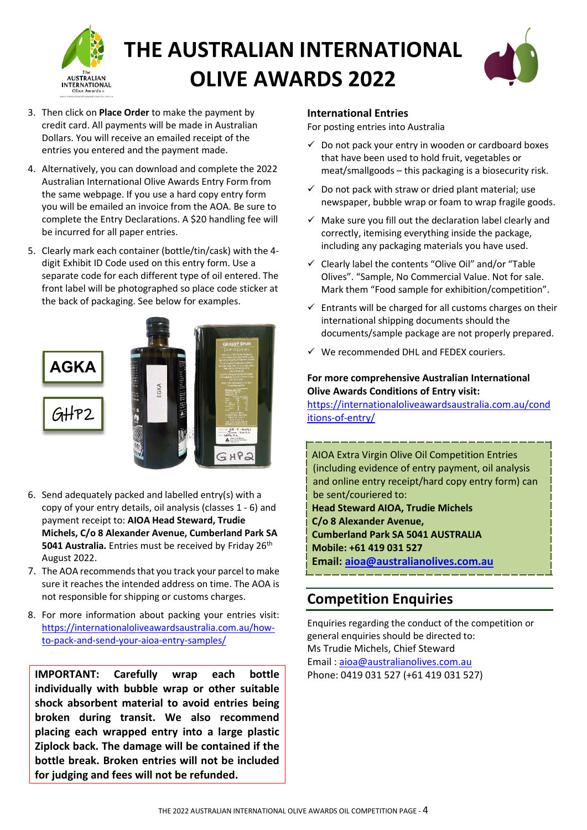



- 3. Then click on **Place Order** to make the payment by credit card. All payments will be made in Australian Dollars. You will receive an emailed receipt of the entries you entered and the payment made.
- 4. Alternatively, you can download and complete the 2022 Australian International Olive Awards Entry Form from the same webpage. If you use a hard copy entry form you will be emailed an invoice from the AOA. Be sure to complete the Entry Declarations. A \$20 handling fee will be incurred for all paper entries.
- 5. Clearly mark each container (bottle/tin/cask) with the 4 digit Exhibit ID Code used on this entry form. Use a separate code for each different type of oil entered. The front label will be photographed so place code sticker at the back of packaging. See below for examples.



- 6. Send adequately packed and labelled entry(s) with a copy of your entry details, oil analysis (classes 1 - 6) and payment receipt to: **AIOA Head Steward, Trudie Michels, C/o 8 Alexander Avenue, Cumberland Park SA 5041 Australia.** Entries must be received by Friday 26th August 2022.
- 7. The AOA recommends that you track your parcel to make sure it reaches the intended address on time. The AOA is not responsible for shipping or customs charges.
- 8. For more information about packing your entries visit: [https://internationaloliveawardsaustralia.com.au/how](https://internationaloliveawardsaustralia.com.au/how-to-pack-and-send-your-aioa-entry-samples/)[to-pack-and-send-your-aioa-entry-samples/](https://internationaloliveawardsaustralia.com.au/how-to-pack-and-send-your-aioa-entry-samples/)

**IMPORTANT: Carefully wrap each bottle individually with bubble wrap or other suitable shock absorbent material to avoid entries being broken during transit. We also recommend placing each wrapped entry into a large plastic Ziplock back. The damage will be contained if the bottle break. Broken entries will not be included for judging and fees will not be refunded.** 

#### **International Entries**

For posting entries into Australia

- $\checkmark$  Do not pack your entry in wooden or cardboard boxes that have been used to hold fruit, vegetables or meat/smallgoods – this packaging is a biosecurity risk.
- $\checkmark$  Do not pack with straw or dried plant material; use newspaper, bubble wrap or foam to wrap fragile goods.
- $\checkmark$  Make sure you fill out the declaration label clearly and correctly, itemising everything inside the package, including any packaging materials you have used.
- $\checkmark$  Clearly label the contents "Olive Oil" and/or "Table Olives". "Sample, No Commercial Value. Not for sale. Mark them "Food sample for exhibition/competition".
- $\checkmark$  Entrants will be charged for all customs charges on their international shipping documents should the documents/sample package are not properly prepared.
- We recommended DHL and FEDEX couriers.

#### **For more comprehensive Australian International Olive Awards Conditions of Entry visit:**

[https://internationaloliveawardsaustralia.com.au/cond](https://internationaloliveawardsaustralia.com.au/conditions-of-entry/) [itions-of-entry/](https://internationaloliveawardsaustralia.com.au/conditions-of-entry/) 

AIOA Extra Virgin Olive Oil Competition Entries (including evidence of entry payment, oil analysis and online entry receipt/hard copy entry form) can be sent/couriered to: **Head Steward AIOA, Trudie Michels C/o 8 Alexander Avenue, Cumberland Park SA 5041 AUSTRALIA Mobile: +61 419 031 527 Email: [aioa@australianolives.com.au](mailto:aioa@australianolives.com.au)**

### **Competition Enquiries**

Enquiries regarding the conduct of the competition or general enquiries should be directed to: Ms Trudie Michels, Chief Steward Email : [aioa@australianolives.com.au](mailto:aioa@australianolives.com.au) Phone: 0419 031 527 (+61 419 031 527)